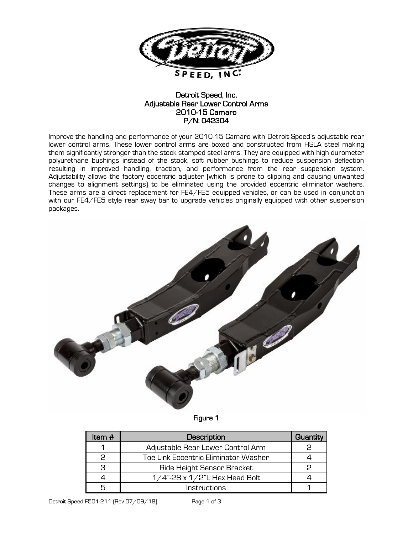

## Detroit Speed, Inc. Adjustable Rear Lower Control Arms 2010-15 Camaro P/N: 042304

Improve the handling and performance of your 2010-15 Camaro with Detroit Speed's adjustable rear lower control arms. These lower control arms are boxed and constructed from HSLA steel making them significantly stronger than the stock stamped steel arms. They are equipped with high durometer polyurethane bushings instead of the stock, soft rubber bushings to reduce suspension deflection resulting in improved handling, traction, and performance from the rear suspension system. Adjustability allows the factory eccentric adjuster (which is prone to slipping and causing unwanted changes to alignment settings) to be eliminated using the provided eccentric eliminator washers. These arms are a direct replacement for FE4/FE5 equipped vehicles, or can be used in conjunction with our FE4/FE5 style rear sway bar to upgrade vehicles originally equipped with other suspension packages.



## Figure 1

| Item $#$ | Description                          | Quantity |
|----------|--------------------------------------|----------|
|          | Adjustable Rear Lower Control Arm    |          |
|          | Toe Link Eccentric Eliminator Washer |          |
| З        | Ride Height Sensor Bracket           |          |
|          | $1/4$ "-28 x $1/2$ "L Hex Head Bolt  |          |
|          | Instructions                         |          |

Detroit Speed F501-211 (Rev 07/09/18) Page 1 of 3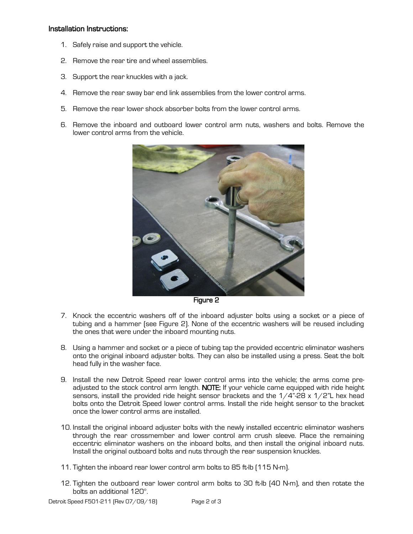## Installation Instructions:

- 1. Safely raise and support the vehicle.
- 2. Remove the rear tire and wheel assemblies.
- 3. Support the rear knuckles with a jack.
- 4. Remove the rear sway bar end link assemblies from the lower control arms.
- 5. Remove the rear lower shock absorber bolts from the lower control arms.
- 6. Remove the inboard and outboard lower control arm nuts, washers and bolts. Remove the lower control arms from the vehicle.



Figure 2

- 7. Knock the eccentric washers off of the inboard adjuster bolts using a socket or a piece of tubing and a hammer (see Figure 2). None of the eccentric washers will be reused including the ones that were under the inboard mounting nuts.
- 8. Using a hammer and socket or a piece of tubing tap the provided eccentric eliminator washers onto the original inboard adjuster bolts. They can also be installed using a press. Seat the bolt head fully in the washer face.
- 9. Install the new Detroit Speed rear lower control arms into the vehicle; the arms come preadjusted to the stock control arm length. NOTE: If your vehicle came equipped with ride height sensors, install the provided ride height sensor brackets and the  $1/4$ "-28 x  $1/2$ "L hex head bolts onto the Detroit Speed lower control arms. Install the ride height sensor to the bracket once the lower control arms are installed.
- 10. Install the original inboard adjuster bolts with the newly installed eccentric eliminator washers through the rear crossmember and lower control arm crush sleeve. Place the remaining eccentric eliminator washers on the inboard bolts, and then install the original inboard nuts. Install the original outboard bolts and nuts through the rear suspension knuckles.
- 11. Tighten the inboard rear lower control arm bolts to 85 ft-lb (115 N-m).
- 12. Tighten the outboard rear lower control arm bolts to 30 ft-lb (40 N-m), and then rotate the bolts an additional 120°.